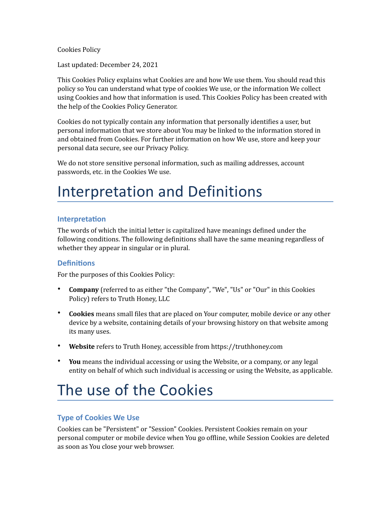Cookies Policy

Last updated: December 24, 2021

This Cookies Policy explains what Cookies are and how We use them. You should read this policy so You can understand what type of cookies We use, or the information We collect using Cookies and how that information is used. This Cookies Policy has been created with the help of the Cookies Policy Generator.

Cookies do not typically contain any information that personally identifies a user, but personal information that we store about You may be linked to the information stored in and obtained from Cookies. For further information on how We use, store and keep your personal data secure, see our Privacy Policy.

We do not store sensitive personal information, such as mailing addresses, account passwords, etc. in the Cookies We use.

## Interpretation and Definitions

## **Interpretation**

The words of which the initial letter is capitalized have meanings defined under the following conditions. The following definitions shall have the same meaning regardless of whether they appear in singular or in plural.

#### **Definitions**

For the purposes of this Cookies Policy:

- **Company** (referred to as either "the Company", "We", "Us" or "Our" in this Cookies Policy) refers to Truth Honey, LLC
- **Cookies** means small files that are placed on Your computer, mobile device or any other device by a website, containing details of your browsing history on that website among its many uses.
- Website refers to Truth Honey, accessible from <https://truthhoney.com>
- You means the individual accessing or using the Website, or a company, or any legal entity on behalf of which such individual is accessing or using the Website, as applicable.

# The use of the Cookies

## **Type of Cookies We Use**

Cookies can be "Persistent" or "Session" Cookies. Persistent Cookies remain on your personal computer or mobile device when You go offline, while Session Cookies are deleted as soon as You close your web browser.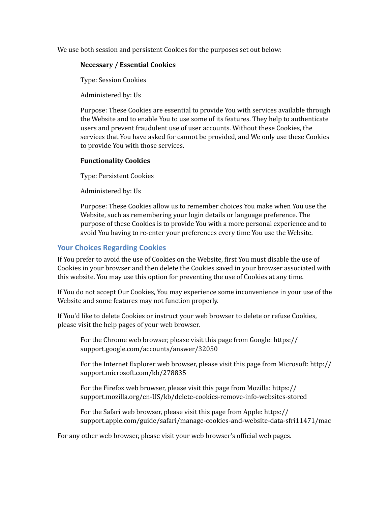We use both session and persistent Cookies for the purposes set out below:

#### **Necessary / Essential Cookies**

Type: Session Cookies

Administered by: Us

Purpose: These Cookies are essential to provide You with services available through the Website and to enable You to use some of its features. They help to authenticate users and prevent fraudulent use of user accounts. Without these Cookies, the services that You have asked for cannot be provided, and We only use these Cookies to provide You with those services.

#### **Functionality Cookies**

Type: Persistent Cookies

Administered by: Us

Purpose: These Cookies allow us to remember choices You make when You use the Website, such as remembering your login details or language preference. The purpose of these Cookies is to provide You with a more personal experience and to avoid You having to re-enter your preferences every time You use the Website.

## **Your Choices Regarding Cookies**

If You prefer to avoid the use of Cookies on the Website, first You must disable the use of Cookies in your browser and then delete the Cookies saved in your browser associated with this website. You may use this option for preventing the use of Cookies at any time.

If You do not accept Our Cookies, You may experience some inconvenience in your use of the Website and some features may not function properly.

If You'd like to delete Cookies or instruct your web browser to delete or refuse Cookies, please visit the help pages of your web browser.

For the Chrome web browser, please visit this page from Google: https:// [support.google.com/accounts/answer/32050](https://support.google.com/accounts/answer/32050)

For the Internet Explorer web browser, please visit this page from Microsoft: [http://](http://support.microsoft.com/kb/278835) [support.microsoft.com/kb/278835](http://support.microsoft.com/kb/278835)

For the Firefox web browser, please visit this page from Mozilla: https:// [support.mozilla.org/en-US/kb/delete-cookies-remove-info-websites-stored](https://support.mozilla.org/en-US/kb/delete-cookies-remove-info-websites-stored)

For the Safari web browser, please visit this page from Apple: [https://](https://support.apple.com/guide/safari/manage-cookies-and-website-data-sfri11471/mac) [support.apple.com/guide/safari/manage-cookies-and-website-data-sfri11471/mac](https://support.apple.com/guide/safari/manage-cookies-and-website-data-sfri11471/mac)

For any other web browser, please visit your web browser's official web pages.